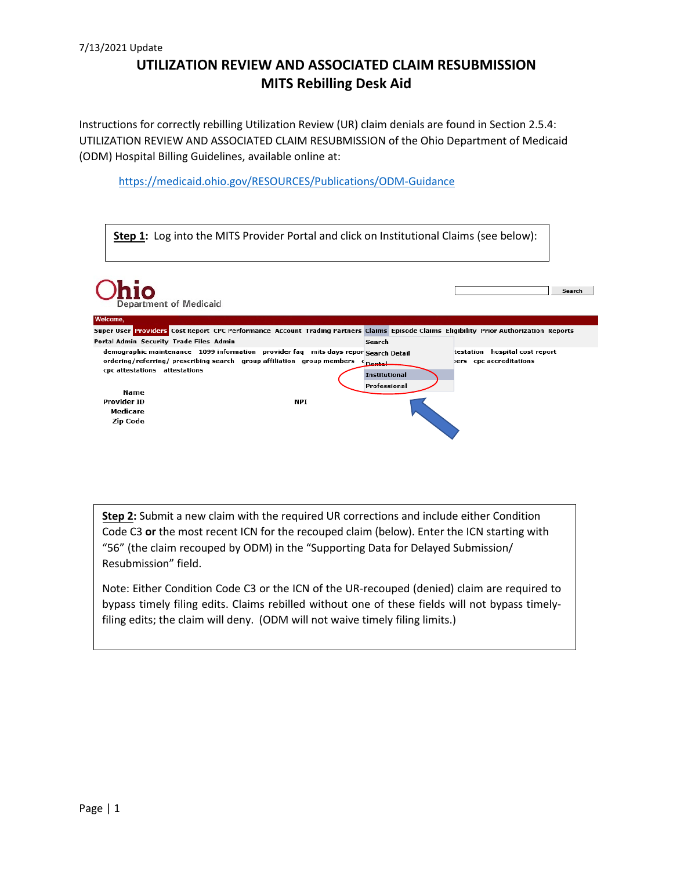Instructions for correctly rebilling Utilization Review (UR) claim denials are found in Section 2.5.4: UTILIZATION REVIEW AND ASSOCIATED CLAIM RESUBMISSION of the Ohio Department of Medicaid (ODM) Hospital Billing Guidelines, available online at:

<https://medicaid.ohio.gov/RESOURCES/Publications/ODM-Guidance>

|                                         |                               | <b>Step 1:</b> Log into the MITS Provider Portal and click on Institutional Claims (see below):                                                               |                                                       |                                                              |
|-----------------------------------------|-------------------------------|---------------------------------------------------------------------------------------------------------------------------------------------------------------|-------------------------------------------------------|--------------------------------------------------------------|
|                                         | <b>Department of Medicaid</b> |                                                                                                                                                               |                                                       | Search                                                       |
| Welcome,                                |                               |                                                                                                                                                               |                                                       |                                                              |
|                                         |                               | Super User Providers Cost Report CPC Performance Account Trading Partners Claims Episode Claims Eligibility Prior Authorization Reports                       |                                                       |                                                              |
| Portal Admin Security Trade Files Admin |                               |                                                                                                                                                               | Search                                                |                                                              |
| cpc attestations attestations<br>Name   |                               | demographic maintenance 1099 information provider faq mits days repor Search Detail<br>ordering/referring/ prescribing search group affiliation group members | <b>Dental</b><br><b>Institutional</b><br>Professional | hospital cost report<br>testation<br>bers cpc accreditations |
| Provider ID<br>Medicare<br>Zip Code     |                               | NPI                                                                                                                                                           |                                                       |                                                              |

**Step 2:** Submit a new claim with the required UR corrections and include either Condition Code C3 **or** the most recent ICN for the recouped claim (below). Enter the ICN starting with "56" (the claim recouped by ODM) in the "Supporting Data for Delayed Submission/ Resubmission" field.

Note: Either Condition Code C3 or the ICN of the UR-recouped (denied) claim are required to bypass timely filing edits. Claims rebilled without one of these fields will not bypass timelyfiling edits; the claim will deny. (ODM will not waive timely filing limits.)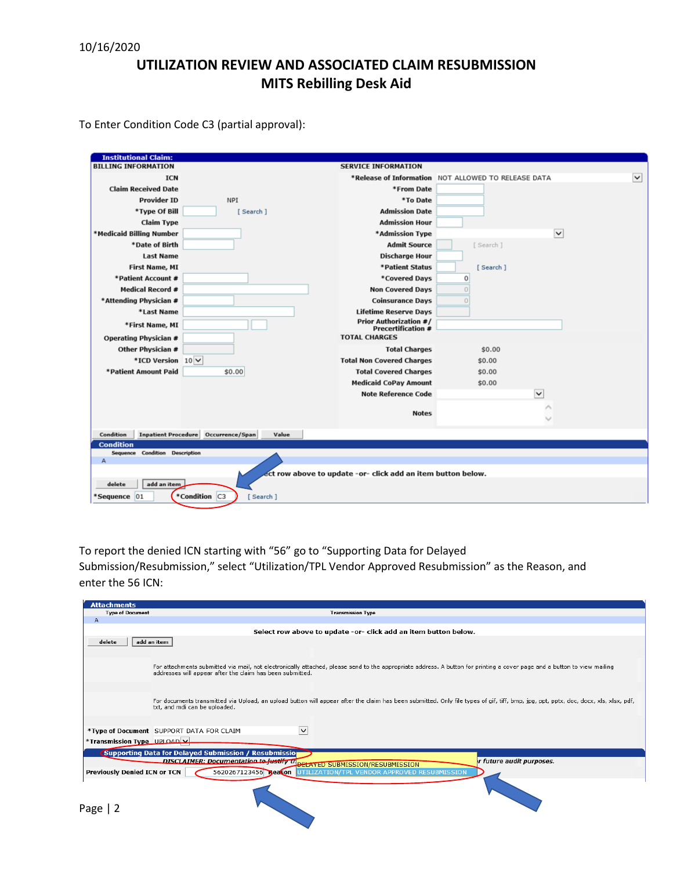To Enter Condition Code C3 (partial approval):

| <b>Institutional Claim:</b>                                  |                                                            |                                                                    |  |  |  |  |
|--------------------------------------------------------------|------------------------------------------------------------|--------------------------------------------------------------------|--|--|--|--|
| <b>BILLING INFORMATION</b>                                   | <b>SERVICE INFORMATION</b>                                 |                                                                    |  |  |  |  |
| <b>ICN</b>                                                   |                                                            | $\check{ }$<br>*Release of Information NOT ALLOWED TO RELEASE DATA |  |  |  |  |
| <b>Claim Received Date</b>                                   | *From Date                                                 |                                                                    |  |  |  |  |
| <b>Provider ID</b><br><b>NPI</b>                             | *To Date                                                   |                                                                    |  |  |  |  |
| *Type Of Bill<br>[Search]                                    | <b>Admission Date</b>                                      |                                                                    |  |  |  |  |
| <b>Claim Type</b>                                            | <b>Admission Hour</b>                                      |                                                                    |  |  |  |  |
| *Medicaid Billing Number                                     | *Admission Type                                            | $\checkmark$                                                       |  |  |  |  |
| *Date of Birth                                               | <b>Admit Source</b>                                        | [ Search ]                                                         |  |  |  |  |
| <b>Last Name</b>                                             | <b>Discharge Hour</b>                                      |                                                                    |  |  |  |  |
| <b>First Name, MI</b>                                        | *Patient Status                                            | [Search]                                                           |  |  |  |  |
| *Patient Account #                                           | *Covered Days                                              | 0                                                                  |  |  |  |  |
| <b>Medical Record #</b>                                      | <b>Non Covered Days</b>                                    | $\cup$                                                             |  |  |  |  |
| *Attending Physician #                                       | <b>Coinsurance Days</b>                                    | $\cup$                                                             |  |  |  |  |
| *Last Name                                                   | <b>Lifetime Reserve Days</b>                               |                                                                    |  |  |  |  |
| *First Name, MI                                              | <b>Prior Authorization #/</b><br><b>Precertification #</b> |                                                                    |  |  |  |  |
| Operating Physician #                                        | <b>TOTAL CHARGES</b>                                       |                                                                    |  |  |  |  |
| Other Physician #                                            | <b>Total Charges</b>                                       | \$0.00                                                             |  |  |  |  |
| *ICD Version 10 V                                            | <b>Total Non Covered Charges</b>                           | \$0.00                                                             |  |  |  |  |
| *Patient Amount Paid<br>\$0.00                               | <b>Total Covered Charges</b>                               | \$0.00                                                             |  |  |  |  |
|                                                              | <b>Medicaid CoPay Amount</b>                               | \$0.00                                                             |  |  |  |  |
|                                                              | <b>Note Reference Code</b>                                 | $\check{ }$                                                        |  |  |  |  |
|                                                              | <b>Notes</b>                                               | ∧                                                                  |  |  |  |  |
| Condition<br>Inpatient Procedure Occurrence/Span<br>Value    |                                                            |                                                                    |  |  |  |  |
| <b>Condition</b>                                             |                                                            |                                                                    |  |  |  |  |
| Sequence Condition Description                               |                                                            |                                                                    |  |  |  |  |
| Α                                                            |                                                            |                                                                    |  |  |  |  |
| ect row above to update -or- click add an item button below. |                                                            |                                                                    |  |  |  |  |
| add an item<br>delete                                        |                                                            |                                                                    |  |  |  |  |
| *Condition C3<br>*Sequence 01<br>[Search]                    |                                                            |                                                                    |  |  |  |  |

To report the denied ICN starting with "56" go to "Supporting Data for Delayed

Submission/Resubmission," select "Utilization/TPL Vendor Approved Resubmission" as the Reason, and enter the 56 ICN:

| <b>Attachments</b>                                              |                                                                                                                                                                                                                                       |  |  |  |  |  |
|-----------------------------------------------------------------|---------------------------------------------------------------------------------------------------------------------------------------------------------------------------------------------------------------------------------------|--|--|--|--|--|
| <b>Type of Document</b>                                         | <b>Transmission Type</b>                                                                                                                                                                                                              |  |  |  |  |  |
| $\overline{A}$                                                  |                                                                                                                                                                                                                                       |  |  |  |  |  |
| Select row above to update -or- click add an item button below. |                                                                                                                                                                                                                                       |  |  |  |  |  |
| delete                                                          | add an item                                                                                                                                                                                                                           |  |  |  |  |  |
|                                                                 | For attachments submitted via mail, not electronically attached, please send to the appropriate address. A button for printing a cover page and a button to view mailing<br>addresses will appear after the claim has been submitted. |  |  |  |  |  |
|                                                                 | For documents transmitted via Upload, an upload button will appear after the claim has been submitted. Only file types of gif, tiff, bmp, jpg, ppt, pptx, docx, docx, xls, xlsx, pdf,<br>txt, and mdi can be uploaded.                |  |  |  |  |  |
|                                                                 | *Type of Document SUPPORT DATA FOR CLAIM<br>$\checkmark$                                                                                                                                                                              |  |  |  |  |  |
| *Transmission Type UPLOAD V                                     |                                                                                                                                                                                                                                       |  |  |  |  |  |
|                                                                 | <b>Supporting Data for Delayed Submission / Resubmission</b><br><b>DISCLAIMER: Documentation to justify the ELAYED SUBMISSION/RESUBMISSION</b><br>r future audit purposes.                                                            |  |  |  |  |  |
| Previously Denied ICN or TCN                                    | 5620267123456 Beacon<br>UTILIZATION/TPL VENDOR APPROVED RESUBMISSION                                                                                                                                                                  |  |  |  |  |  |
| Page                                                            |                                                                                                                                                                                                                                       |  |  |  |  |  |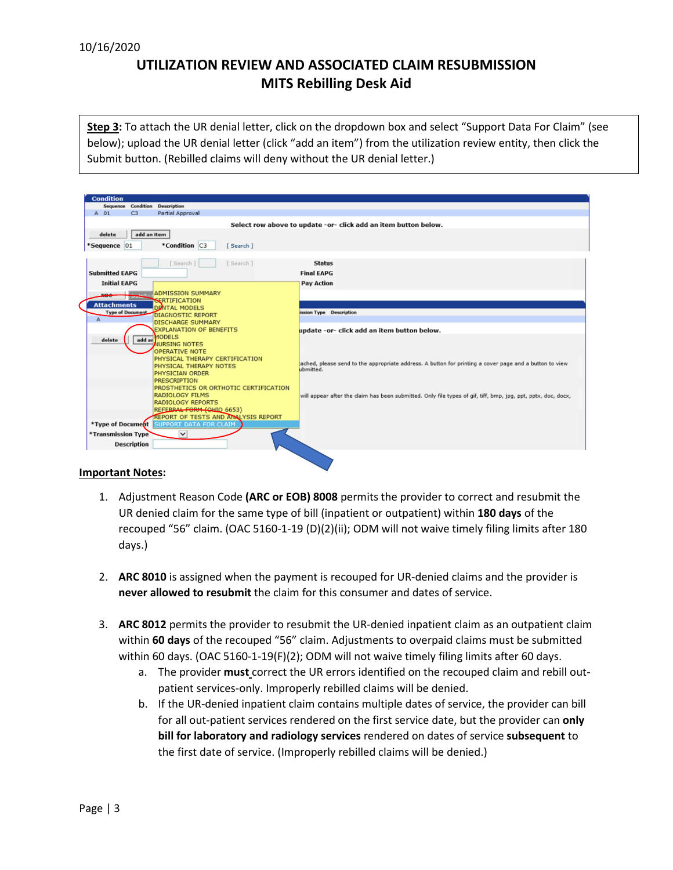**Step 3:** To attach the UR denial letter, click on the dropdown box and select "Support Data For Claim" (see below); upload the UR denial letter (click "add an item") from the utilization review entity, then click the Submit button. (Rebilled claims will deny without the UR denial letter.)

| <b>Condition</b>                                                 |                                                                                                                     |  |  |  |  |
|------------------------------------------------------------------|---------------------------------------------------------------------------------------------------------------------|--|--|--|--|
| Sequence Condition Description                                   |                                                                                                                     |  |  |  |  |
| Partial Approval<br>C3<br>A 01                                   |                                                                                                                     |  |  |  |  |
|                                                                  |                                                                                                                     |  |  |  |  |
| Select row above to update -or- click add an item button below.  |                                                                                                                     |  |  |  |  |
| add an item<br>delete                                            |                                                                                                                     |  |  |  |  |
| *Condition C3<br>*Sequence 01<br>[Search]                        |                                                                                                                     |  |  |  |  |
|                                                                  |                                                                                                                     |  |  |  |  |
| [Search]<br>[ Search ]                                           | <b>Status</b>                                                                                                       |  |  |  |  |
| <b>Submitted EAPG</b>                                            | <b>Final EAPG</b>                                                                                                   |  |  |  |  |
|                                                                  |                                                                                                                     |  |  |  |  |
| <b>Initial EAPG</b>                                              | <b>Pay Action</b>                                                                                                   |  |  |  |  |
| <b>ADMISSION SUMMARY</b><br>moe                                  |                                                                                                                     |  |  |  |  |
| <b>SERTIFICATION</b><br><b>Attachments</b>                       |                                                                                                                     |  |  |  |  |
| <b>DENTAL MODELS</b><br><b>Type of Document</b>                  | ission Type Description                                                                                             |  |  |  |  |
| <b>DIAGNOSTIC REPORT</b><br>A                                    |                                                                                                                     |  |  |  |  |
| <b>DISCHARGE SUMMARY</b>                                         |                                                                                                                     |  |  |  |  |
| <b>EXPLANATION OF BENEFITS</b><br>MODELS                         | update -or- click add an item button below.                                                                         |  |  |  |  |
| add ar<br>delete<br><b>NURSING NOTES</b>                         |                                                                                                                     |  |  |  |  |
| <b>OPERATIVE NOTE</b>                                            |                                                                                                                     |  |  |  |  |
| PHYSICAL THERAPY CERTIFICATION                                   |                                                                                                                     |  |  |  |  |
| PHYSICAL THERAPY NOTES                                           | ached, please send to the appropriate address. A button for printing a cover page and a button to view<br>ubmitted. |  |  |  |  |
| PHYSICIAN ORDER                                                  |                                                                                                                     |  |  |  |  |
| <b>PRESCRIPTION</b>                                              |                                                                                                                     |  |  |  |  |
| PROSTHETICS OR ORTHOTIC CERTIFICATION                            |                                                                                                                     |  |  |  |  |
| <b>RADIOLOGY FILMS</b>                                           | will appear after the claim has been submitted. Only file types of gif, tiff, bmp, jpg, ppt, pptx, doc, docx,       |  |  |  |  |
| <b>RADIOLOGY REPORTS</b>                                         |                                                                                                                     |  |  |  |  |
| REFERRAL FORM (OHIO 6653)<br>REPORT OF TESTS AND ANALYSIS REPORT |                                                                                                                     |  |  |  |  |
| *Type of Document<br><b>SUPPORT DATA FOR CLAIM</b>               |                                                                                                                     |  |  |  |  |
| $\checkmark$                                                     |                                                                                                                     |  |  |  |  |
| *Transmission Type                                               |                                                                                                                     |  |  |  |  |
| <b>Description</b>                                               |                                                                                                                     |  |  |  |  |
|                                                                  |                                                                                                                     |  |  |  |  |

#### **Important Notes:**

- 1. Adjustment Reason Code **(ARC or EOB) 8008** permits the provider to correct and resubmit the UR denied claim for the same type of bill (inpatient or outpatient) within **180 days** of the recouped "56" claim. (OAC 5160-1-19 (D)(2)(ii); ODM will not waive timely filing limits after 180 days.)
- 2. **ARC 8010** is assigned when the payment is recouped for UR-denied claims and the provider is **never allowed to resubmit** the claim for this consumer and dates of service.
- 3. **ARC 8012** permits the provider to resubmit the UR-denied inpatient claim as an outpatient claim within **60 days** of the recouped "56" claim. Adjustments to overpaid claims must be submitted within 60 days. (OAC 5160-1-19(F)(2); ODM will not waive timely filing limits after 60 days.
	- a. The provider **must** correct the UR errors identified on the recouped claim and rebill outpatient services-only. Improperly rebilled claims will be denied.
	- b. If the UR-denied inpatient claim contains multiple dates of service, the provider can bill for all out-patient services rendered on the first service date, but the provider can **only bill for laboratory and radiology services** rendered on dates of service **subsequent** to the first date of service. (Improperly rebilled claims will be denied.)